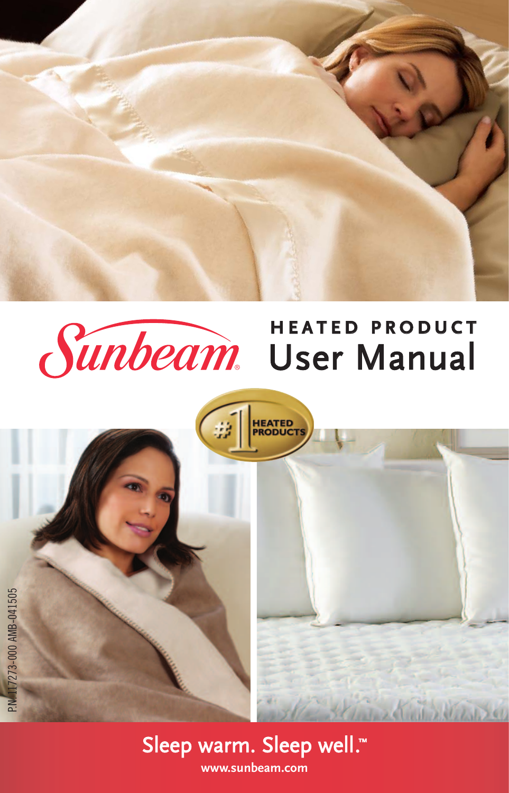

## **H E A T E D P R O D U C T Sunbeam** User Manual

**HEATED<br>PRODUCT** 





**University at**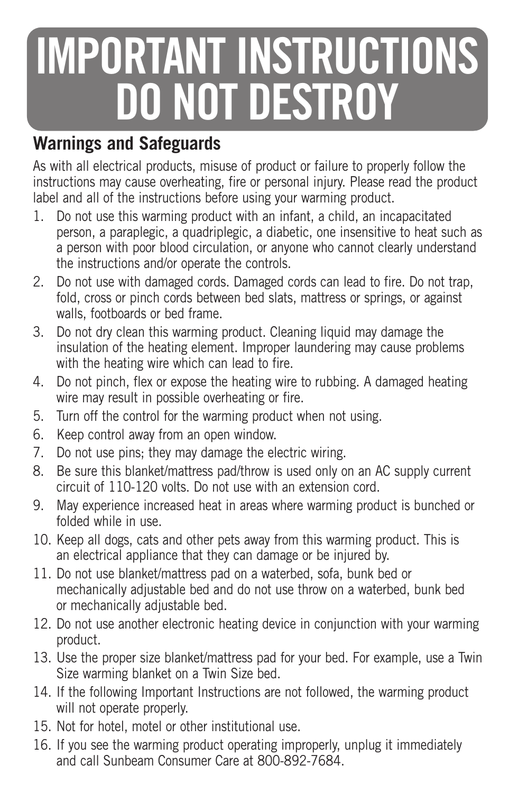# **IMPORTANT INSTRUCTIONS DO NOT DESTROY**

### **Warnings and Safeguards**

As with all electrical products, misuse of product or failure to properly follow the instructions may cause overheating, fire or personal injury. Please read the product label and all of the instructions before using your warming product.

- 1. Do not use this warming product with an infant, a child, an incapacitated person, a paraplegic, a quadriplegic, a diabetic, one insensitive to heat such as a person with poor blood circulation, or anyone who cannot clearly understand the instructions and/or operate the controls.
- 2. Do not use with damaged cords. Damaged cords can lead to fire. Do not trap, fold, cross or pinch cords between bed slats, mattress or springs, or against walls, footboards or bed frame.
- 3. Do not dry clean this warming product. Cleaning liquid may damage the insulation of the heating element. Improper laundering may cause problems with the heating wire which can lead to fire.
- 4. Do not pinch, flex or expose the heating wire to rubbing. A damaged heating wire may result in possible overheating or fire.
- 5. Turn off the control for the warming product when not using.
- 6. Keep control away from an open window.
- 7. Do not use pins; they may damage the electric wiring.
- 8. Be sure this blanket/mattress pad/throw is used only on an AC supply current circuit of 110-120 volts. Do not use with an extension cord.
- 9. May experience increased heat in areas where warming product is bunched or folded while in use.
- 10. Keep all dogs, cats and other pets away from this warming product. This is an electrical appliance that they can damage or be injured by.
- 11. Do not use blanket/mattress pad on a waterbed, sofa, bunk bed or mechanically adjustable bed and do not use throw on a waterbed, bunk bed or mechanically adjustable bed.
- 12. Do not use another electronic heating device in conjunction with your warming product.
- 13. Use the proper size blanket/mattress pad for your bed. For example, use a Twin Size warming blanket on a Twin Size bed.
- 14. If the following Important Instructions are not followed, the warming product will not operate properly.
- 15. Not for hotel, motel or other institutional use.
- 16. If you see the warming product operating improperly, unplug it immediately and call Sunbeam Consumer Care at 800-892-7684.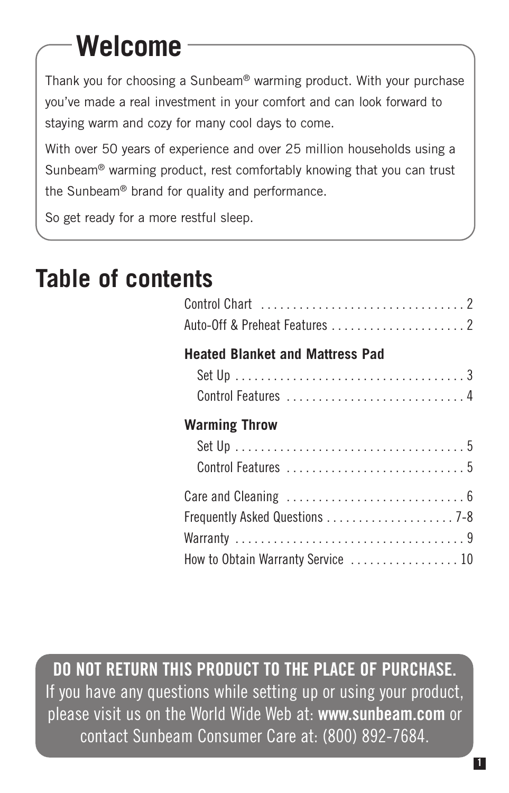# **Welcome**

Thank you for choosing a Sunbeam® warming product. With your purchase you've made a real investment in your comfort and can look forward to staying warm and cozy for many cool days to come.

With over 50 years of experience and over 25 million households using a Sunbeam® warming product, rest comfortably knowing that you can trust the Sunbeam® brand for quality and performance.

So get ready for a more restful sleep.

### **Table of contents**

| <b>Heated Blanket and Mattress Pad</b> |
|----------------------------------------|
|                                        |
|                                        |
| <b>Warming Throw</b>                   |
|                                        |
|                                        |
|                                        |
|                                        |
|                                        |
| How to Obtain Warranty Service  10     |

**DO NOT RETURN THIS PRODUCT TO THE PLACE OF PURCHASE.** If you have any questions while setting up or using your product, please visit us on the World Wide Web at: **www.sunbeam.com** or contact Sunbeam Consumer Care at: (800) 892-7684.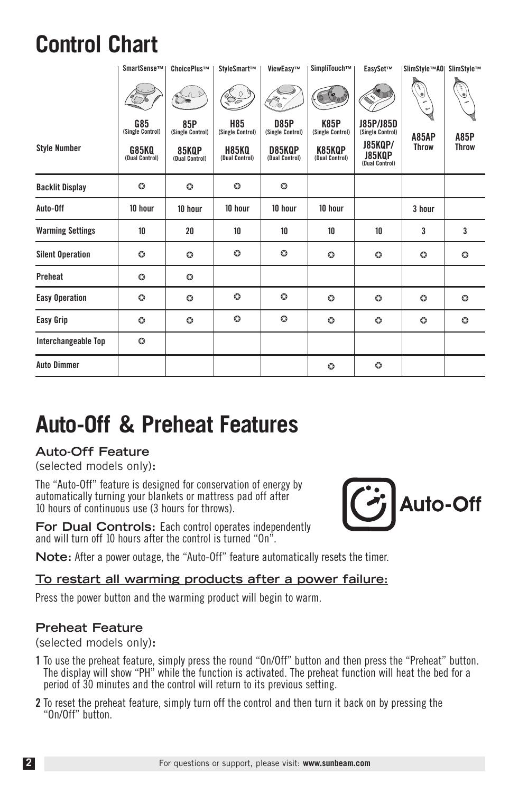### **Control Chart**

|                         | SmartSense™                    | ChoicePlus™             | StyleSmart™                    | ViewEasv™                       | SimpliTouch™                    | EasvSet™                                          | <b>ISlimStvle™A0I</b> | SlimStvle™           |
|-------------------------|--------------------------------|-------------------------|--------------------------------|---------------------------------|---------------------------------|---------------------------------------------------|-----------------------|----------------------|
|                         |                                | $\Delta$<br>$\circ$     | 09                             | 6                               | $\mathscr{E}_{\sigma}$<br>40.   |                                                   | $\bigcirc$            |                      |
|                         | <b>G85</b><br>(Single Control) | 85P<br>(Single Control) | <b>H85</b><br>(Single Control) | <b>D85P</b><br>(Single Control) | <b>K85P</b><br>(Single Control) | J85P/J85D<br>(Single Control)                     | <b>A85AP</b>          |                      |
| <b>Style Number</b>     | G85KQ<br>(Dual Control)        | 85KQP<br>(Dual Control) | <b>H85KQ</b><br>(Dual Control) | D85KQP<br>(Dual Control)        | K85KQP<br>(Dual Control)        | <b>J85KQP/</b><br><b>J85KQP</b><br>(Dual Control) | <b>Throw</b>          | A85P<br><b>Throw</b> |
| <b>Backlit Display</b>  | $\circ$                        | $\circ$                 | O                              | $\circ$                         |                                 |                                                   |                       |                      |
| Auto-Off                | 10 hour                        | 10 hour                 | 10 hour                        | 10 hour                         | 10 hour                         |                                                   | 3 hour                |                      |
| <b>Warming Settings</b> | 10                             | 20                      | 10                             | 10                              | 10                              | 10                                                | 3                     | 3                    |
| <b>Silent Operation</b> | ٥                              | ٥                       | O                              | $\circ$                         | ٥                               | o                                                 | ٥                     | O                    |
| Preheat                 | ٥                              | ٥                       |                                |                                 |                                 |                                                   |                       |                      |
| <b>Easy Operation</b>   | o                              | O                       | O                              | O                               | O                               | o                                                 | ٥                     | O                    |
| Easy Grip               | $\circ$                        | O                       | o                              | $\circ$                         | $\circ$                         | o                                                 | o                     | O                    |
| Interchangeable Top     | $\circ$                        |                         |                                |                                 |                                 |                                                   |                       |                      |
| <b>Auto Dimmer</b>      |                                |                         |                                |                                 | $\circ$                         | o                                                 |                       |                      |

### **Auto-Off & Preheat Features**

#### **Auto-Off Feature**

(selected models only)**:**

The "Auto-Off" feature is designed for conservation of energy by automatically turning your blankets or mattress pad off after 10 hours of continuous use (3 hours for throws).

**For Dual Controls:** Each control operates independently and will turn off 10 hours after the control is turned "On".



**Note:** After a power outage, the "Auto-Off" feature automatically resets the timer.

#### **To restart all warming products after a power failure:**

Press the power button and the warming product will begin to warm.

#### **Preheat Feature**

(selected models only)**:**

- **1** To use the preheat feature, simply press the round "On/Off" button and then press the "Preheat" button. The display will show "PH" while the function is activated. The preheat function will heat the bed for a period of 30 minutes and the control will return to its previous setting.
- **2** To reset the preheat feature, simply turn off the control and then turn it back on by pressing the "On/Off" button.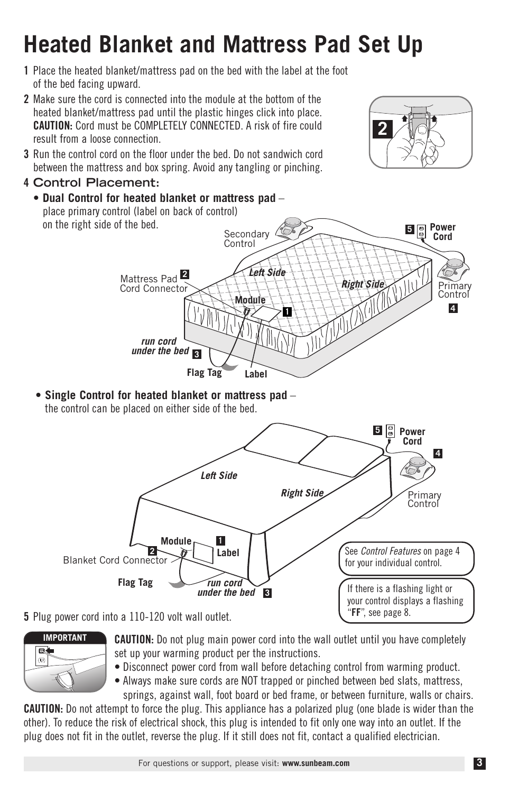#### For questions or support, please visit: **www.sunbeam.com**

### **Heated Blanket and Mattress Pad Set Up**

- **1** Place the heated blanket/mattress pad on the bed with the label at the foot of the bed facing upward.
- **2** Make sure the cord is connected into the module at the bottom of the heated blanket/mattress pad until the plastic hinges click into place. **CAUTION:** Cord must be COMPLETELY CONNECTED. A risk of fire could result from a loose connection.
- **3** Run the control cord on the floor under the bed. Do not sandwich cord between the mattress and box spring. Avoid any tangling or pinching.
- **4 Control Placement:**



**• Single Control for heated blanket or mattress pad** – the control can be placed on either side of the bed.



**5** Plug power cord into a 110-120 volt wall outlet.



**CAUTION:** Do not plug main power cord into the wall outlet until you have completely set up your warming product per the instructions.

• Disconnect power cord from wall before detaching control from warming product.

• Always make sure cords are NOT trapped or pinched between bed slats, mattress,

springs, against wall, foot board or bed frame, or between furniture, walls or chairs. **CAUTION:** Do not attempt to force the plug. This appliance has a polarized plug (one blade is wider than the other). To reduce the risk of electrical shock, this plug is intended to fit only one way into an outlet. If the plug does not fit in the outlet, reverse the plug. If it still does not fit, contact a qualified electrician.

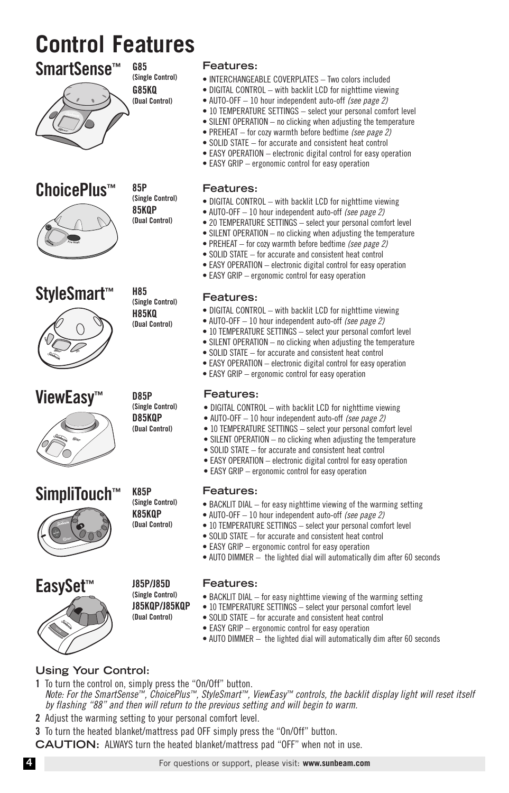### **Control Features**



**ChoicePlus™**



**StyleSmart™**



**ViewEasy™**



**SimpliTouch™ Features:**





**(Single Control) G85KQ (Dual Control)**

**G85**

**85P (Single Control) 85KQP (Dual Control)**

**H85 (Single Control) H85KQ (Dual Control)**

**D85P (Single Control) D85KQP (Dual Control)**

#### **Features:**

- INTERCHANGEABLE COVERPLATES Two colors included
- DIGITAL CONTROL with backlit LCD for nighttime viewing
- AUTO-OFF 10 hour independent auto-off *(see page 2)*
- 10 TEMPERATURE SETTINGS select your personal comfort level
- SILENT OPERATION no clicking when adjusting the temperature
- PREHEAT for cozy warmth before bedtime *(see page 2)*
- SOLID STATE for accurate and consistent heat control
- EASY OPERATION electronic digital control for easy operation
- EASY GRIP ergonomic control for easy operation

#### **Features:**

- DIGITAL CONTROL with backlit LCD for nighttime viewing
- AUTO-OFF 10 hour independent auto-off *(see page 2)*
- 20 TEMPERATURE SETTINGS select your personal comfort level
- SILENT OPERATION no clicking when adjusting the temperature
- PREHEAT for cozy warmth before bedtime *(see page 2)*
- SOLID STATE for accurate and consistent heat control
- EASY OPERATION electronic digital control for easy operation
- EASY GRIP ergonomic control for easy operation

#### **Features:**

- DIGITAL CONTROL with backlit LCD for nighttime viewing
- AUTO-OFF 10 hour independent auto-off *(see page 2)*
- 10 TEMPERATURE SETTINGS select your personal comfort level
- SILENT OPERATION no clicking when adjusting the temperature
- SOLID STATE for accurate and consistent heat control
- EASY OPERATION electronic digital control for easy operation
- EASY GRIP ergonomic control for easy operation

#### **Features:**

- DIGITAL CONTROL with backlit LCD for nighttime viewing
- AUTO-OFF 10 hour independent auto-off *(see page 2)*
- 10 TEMPERATURE SETTINGS select your personal comfort level
- SILENT OPERATION no clicking when adjusting the temperature
- SOLID STATE for accurate and consistent heat control
- EASY OPERATION electronic digital control for easy operation
- EASY GRIP ergonomic control for easy operation

- BACKLIT DIAL for easy nighttime viewing of the warming setting
- AUTO-OFF 10 hour independent auto-off *(see page 2)*
- 10 TEMPERATURE SETTINGS select your personal comfort level
- SOLID STATE for accurate and consistent heat control
- EASY GRIP ergonomic control for easy operation
- AUTO DIMMER the lighted dial will automatically dim after 60 seconds

#### **Features:**

- BACKLIT DIAL for easy nighttime viewing of the warming setting
- 10 TEMPERATURE SETTINGS select your personal comfort level
- SOLID STATE for accurate and consistent heat control
- EASY GRIP ergonomic control for easy operation
- AUTO DIMMER the lighted dial will automatically dim after 60 seconds

#### **Using Your Control:**

- **1** To turn the control on, simply press the "On/Off" button. *Note: For the SmartSense™, ChoicePlus™, StyleSmart™, ViewEasy™ controls, the backlit display light will reset itself by flashing "88" and then will return to the previous setting and will begin to warm.*
- **2** Adjust the warming setting to your personal comfort level.
- **3** To turn the heated blanket/mattress pad OFF simply press the "On/Off" button.
- **CAUTION:** ALWAYS turn the heated blanket/mattress pad "OFF" when not in use.

**K85P (Single Control) K85KQP (Dual Control)**

> **J85P/J85D (Single Control) J85KQP/J85KQP (Dual Control)**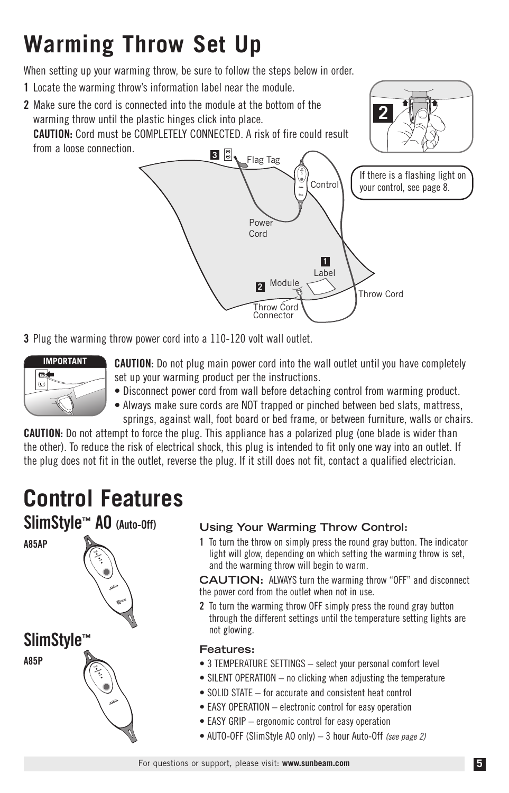### **Warming Throw Set Up**

When setting up your warming throw, be sure to follow the steps below in order.

- **1** Locate the warming throw's information label near the module.
- Control Flag Tag **2** Make sure the cord is connected into the module at the bottom of the warming throw until the plastic hinges click into place. **CAUTION:** Cord must be COMPLETELY CONNECTED. A risk of fire could result from a loose connection. **3 2**





**3** Plug the warming throw power cord into a 110-120 volt wall outlet.



- **CAUTION:** Do not plug main power cord into the wall outlet until you have completely set up your warming product per the instructions.
- Disconnect power cord from wall before detaching control from warming product.
- Always make sure cords are NOT trapped or pinched between bed slats, mattress, springs, against wall, foot board or bed frame, or between furniture, walls or chairs.

**CAUTION:** Do not attempt to force the plug. This appliance has a polarized plug (one blade is wider than the other). To reduce the risk of electrical shock, this plug is intended to fit only one way into an outlet. If the plug does not fit in the outlet, reverse the plug. If it still does not fit, contact a qualified electrician.

### **Control Features**



#### **Using Your Warming Throw Control:**

**1** To turn the throw on simply press the round gray button. The indicator light will glow, depending on which setting the warming throw is set, and the warming throw will begin to warm.

**CAUTION:** ALWAYS turn the warming throw "OFF" and disconnect the power cord from the outlet when not in use.

**2** To turn the warming throw OFF simply press the round gray button through the different settings until the temperature setting lights are not glowing.

#### **Features:**

- 3 TEMPERATURE SETTINGS select your personal comfort level
- SILENT OPERATION no clicking when adjusting the temperature
- SOLID STATE for accurate and consistent heat control
- EASY OPERATION electronic control for easy operation
- EASY GRIP ergonomic control for easy operation
- AUTO-OFF (SlimStyle AO only) 3 hour Auto-Off *(see page 2)*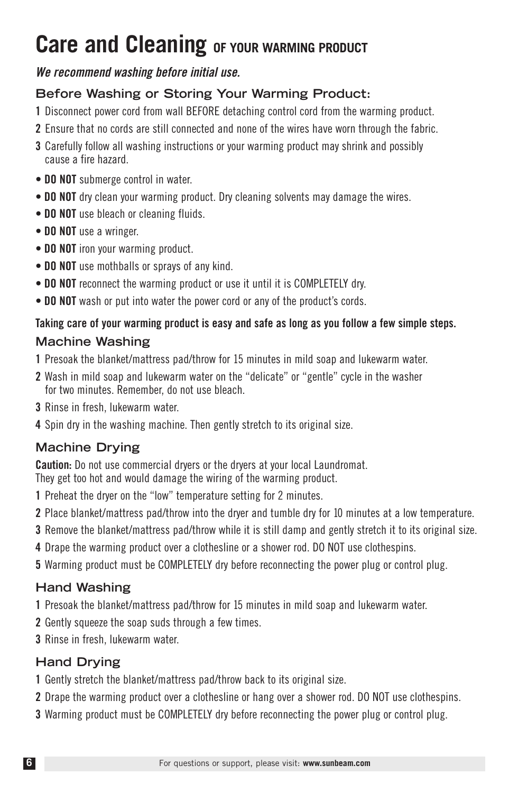### **Care and Cleaning OF YOUR WARMING PRODUCT**

#### *We recommend washing before initial use.*

#### **Before Washing or Storing Your Warming Product:**

- **1** Disconnect power cord from wall BEFORE detaching control cord from the warming product.
- **2** Ensure that no cords are still connected and none of the wires have worn through the fabric.
- **3** Carefully follow all washing instructions or your warming product may shrink and possibly cause a fire hazard.
- **DO NOT** submerge control in water.
- **DO NOT** dry clean your warming product. Dry cleaning solvents may damage the wires.
- **DO NOT** use bleach or cleaning fluids.
- **DO NOT** use a wringer.
- **DO NOT** iron your warming product.
- **DO NOT** use mothballs or sprays of any kind.
- **DO NOT** reconnect the warming product or use it until it is COMPLETELY dry.
- **DO NOT** wash or put into water the power cord or any of the product's cords.

### **Taking care of your warming product is easy and safe as long as you follow a few simple steps.**

### **Machine Washing**

- **1** Presoak the blanket/mattress pad/throw for 15 minutes in mild soap and lukewarm water.
- **2** Wash in mild soap and lukewarm water on the "delicate" or "gentle" cycle in the washer for two minutes. Remember, do not use bleach.
- **3** Rinse in fresh, lukewarm water.
- **4** Spin dry in the washing machine. Then gently stretch to its original size.

#### **Machine Drying**

**Caution:** Do not use commercial dryers or the dryers at your local Laundromat.

They get too hot and would damage the wiring of the warming product.

- **1** Preheat the dryer on the "low" temperature setting for 2 minutes.
- **2** Place blanket/mattress pad/throw into the dryer and tumble dry for 10 minutes at a low temperature.
- **3** Remove the blanket/mattress pad/throw while it is still damp and gently stretch it to its original size.
- **4** Drape the warming product over a clothesline or a shower rod. DO NOT use clothespins.
- **5** Warming product must be COMPLETELY dry before reconnecting the power plug or control plug.

#### **Hand Washing**

- **1** Presoak the blanket/mattress pad/throw for 15 minutes in mild soap and lukewarm water.
- **2** Gently squeeze the soap suds through a few times.
- **3** Rinse in fresh, lukewarm water.

#### **Hand Drying**

- **1** Gently stretch the blanket/mattress pad/throw back to its original size.
- **2** Drape the warming product over a clothesline or hang over a shower rod. DO NOT use clothespins.
- **3** Warming product must be COMPLETELY dry before reconnecting the power plug or control plug.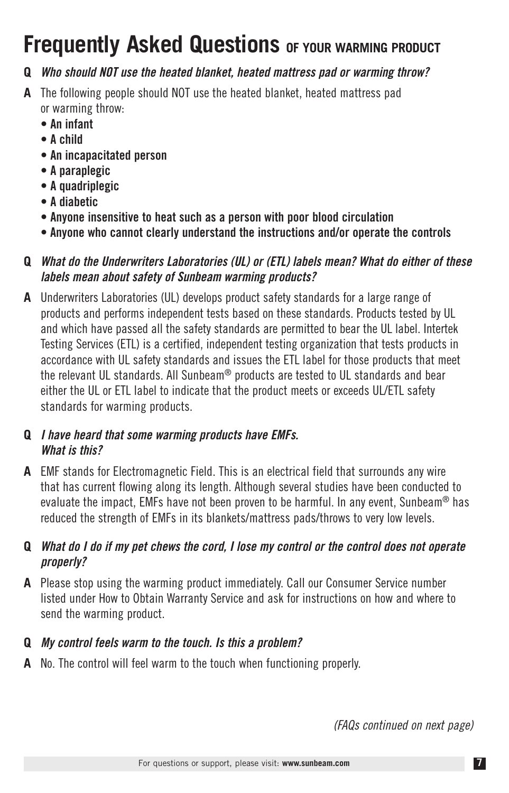### **Frequently Asked Questions OF YOUR WARMING PRODUCT**

#### **Q** *Who should NOT use the heated blanket, heated mattress pad or warming throw?*

- **A** The following people should NOT use the heated blanket, heated mattress pad or warming throw:
	- **An infant**
	- **A child**
	- **An incapacitated person**
	- **A paraplegic**
	- **A quadriplegic**
	- **A diabetic**
	- **Anyone insensitive to heat such as a person with poor blood circulation**
	- **Anyone who cannot clearly understand the instructions and/or operate the controls**

#### **Q** *What do the Underwriters Laboratories (UL) or (ETL) labels mean? What do either of these labels mean about safety of Sunbeam warming products?*

**A** Underwriters Laboratories (UL) develops product safety standards for a large range of products and performs independent tests based on these standards. Products tested by UL and which have passed all the safety standards are permitted to bear the UL label. Intertek Testing Services (ETL) is a certified, independent testing organization that tests products in accordance with UL safety standards and issues the ETL label for those products that meet the relevant UL standards. All Sunbeam® products are tested to UL standards and bear either the UL or ETL label to indicate that the product meets or exceeds UL/ETL safety standards for warming products.

#### **Q** *I have heard that some warming products have EMFs. What is this?*

**A** EMF stands for Electromagnetic Field. This is an electrical field that surrounds any wire that has current flowing along its length. Although several studies have been conducted to evaluate the impact, EMFs have not been proven to be harmful. In any event, Sunbeam<sup>®</sup> has reduced the strength of EMFs in its blankets/mattress pads/throws to very low levels.

#### **Q** *What do I do if my pet chews the cord, I lose my control or the control does not operate properly?*

**A** Please stop using the warming product immediately. Call our Consumer Service number listed under How to Obtain Warranty Service and ask for instructions on how and where to send the warming product.

### **Q** *My control feels warm to the touch. Is this a problem?*

**A** No. The control will feel warm to the touch when functioning properly.

*(FAQs continued on next page)*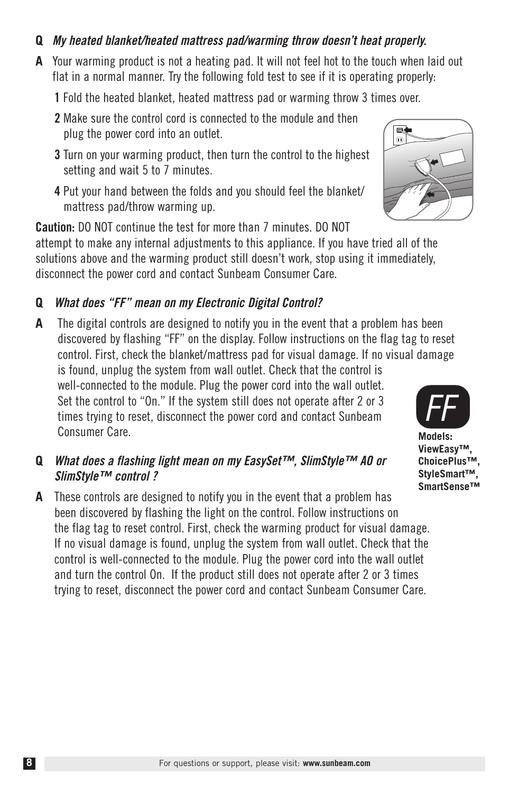#### **Q** *My heated blanket/heated mattress pad/warming throw doesn't heat properly.*

- **A** Your warming product is not a heating pad. It will not feel hot to the touch when laid out flat in a normal manner. Try the following fold test to see if it is operating properly:
	- **1** Fold the heated blanket, heated mattress pad or warming throw 3 times over.
	- **2** Make sure the control cord is connected to the module and then plug the power cord into an outlet.
	- **3** Turn on your warming product, then turn the control to the highest setting and wait 5 to 7 minutes.
	- **4** Put your hand between the folds and you should feel the blanket/ mattress pad/throw warming up.

**Caution:** DO NOT continue the test for more than 7 minutes. DO NOT attempt to make any internal adjustments to this appliance. If you have tried all of the solutions above and the warming product still doesn't work, stop using it immediately, disconnect the power cord and contact Sunbeam Consumer Care.

#### **Q** *What does "FF" mean on my Electronic Digital Control?*

**A** The digital controls are designed to notify you in the event that a problem has been discovered by flashing "FF" on the display. Follow instructions on the flag tag to reset control. First, check the blanket/mattress pad for visual damage. If no visual damage is found, unplug the system from wall outlet. Check that the control is well-connected to the module. Plug the power cord into the wall outlet.

Set the control to "On." If the system still does not operate after 2 or 3 times trying to reset, disconnect the power cord and contact Sunbeam Consumer Care.

- **Q** *What does a flashing light mean on my EasySet™, SlimStyle™ AO or SlimStyle™ control ?*
- **A** These controls are designed to notify you in the event that a problem has been discovered by flashing the light on the control. Follow instructions on the flag tag to reset control. First, check the warming product for visual damage. If no visual damage is found, unplug the system from wall outlet. Check that the control is well-connected to the module. Plug the power cord into the wall outlet and turn the control On. If the product still does not operate after 2 or 3 times trying to reset, disconnect the power cord and contact Sunbeam Consumer Care.





**Models: ViewEasy™, ChoicePlus™, StyleSmart™, SmartSense™**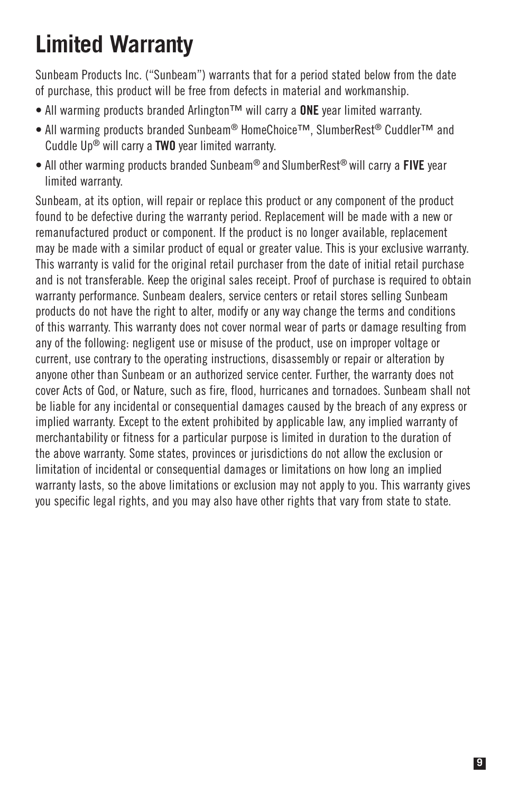### **Limited Warranty**

Sunbeam Products Inc. ("Sunbeam") warrants that for a period stated below from the date of purchase, this product will be free from defects in material and workmanship.

- All warming products branded Arlington™ will carry a **ONE** year limited warranty.
- All warming products branded Sunbeam® HomeChoice™, SlumberRest® Cuddler™ and Cuddle Up® will carry a **TWO** year limited warranty.
- All other warming products branded Sunbeam® and SlumberRest® will carry a **FIVE** year limited warranty.

Sunbeam, at its option, will repair or replace this product or any component of the product found to be defective during the warranty period. Replacement will be made with a new or remanufactured product or component. If the product is no longer available, replacement may be made with a similar product of equal or greater value. This is your exclusive warranty. This warranty is valid for the original retail purchaser from the date of initial retail purchase and is not transferable. Keep the original sales receipt. Proof of purchase is required to obtain warranty performance. Sunbeam dealers, service centers or retail stores selling Sunbeam products do not have the right to alter, modify or any way change the terms and conditions of this warranty. This warranty does not cover normal wear of parts or damage resulting from any of the following: negligent use or misuse of the product, use on improper voltage or current, use contrary to the operating instructions, disassembly or repair or alteration by anyone other than Sunbeam or an authorized service center. Further, the warranty does not cover Acts of God, or Nature, such as fire, flood, hurricanes and tornadoes. Sunbeam shall not be liable for any incidental or consequential damages caused by the breach of any express or implied warranty. Except to the extent prohibited by applicable law, any implied warranty of merchantability or fitness for a particular purpose is limited in duration to the duration of the above warranty. Some states, provinces or jurisdictions do not allow the exclusion or limitation of incidental or consequential damages or limitations on how long an implied warranty lasts, so the above limitations or exclusion may not apply to you. This warranty gives you specific legal rights, and you may also have other rights that vary from state to state.